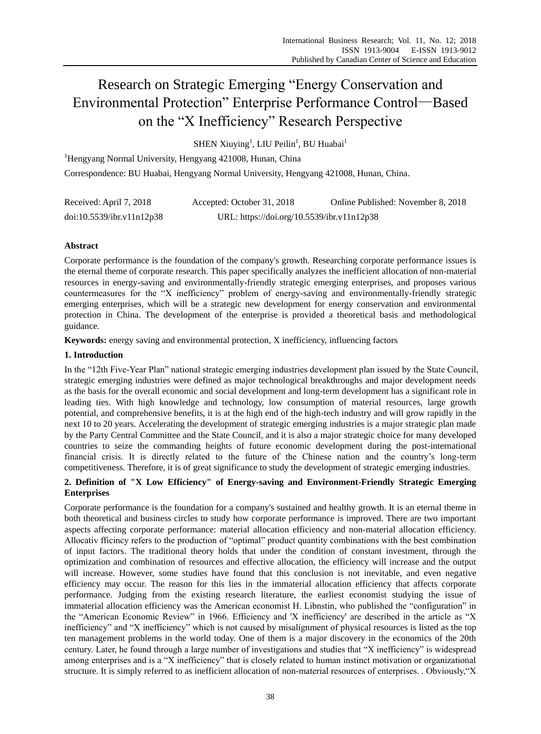# Research on Strategic Emerging "Energy Conservation and Environmental Protection" Enterprise Performance Control—Based on the "X Inefficiency" Research Perspective

 ${\rm SHEN}$  Xiuying $^1$ , LIU Peilin $^1$ , BU Huabai $^1$ 

<sup>1</sup>Hengyang Normal University, Hengyang 421008, Hunan, China Correspondence: BU Huabai, Hengyang Normal University, Hengyang 421008, Hunan, China.

| Received: April 7, 2018   | Accepted: October 31, 2018                 | Online Published: November 8, 2018 |
|---------------------------|--------------------------------------------|------------------------------------|
| doi:10.5539/ibr.v11n12p38 | URL: https://doi.org/10.5539/ibr.v11n12p38 |                                    |

# **Abstract**

Corporate performance is the foundation of the company's growth. Researching corporate performance issues is the eternal theme of corporate research. This paper specifically analyzes the inefficient allocation of non-material resources in energy-saving and environmentally-friendly strategic emerging enterprises, and proposes various countermeasures for the "X inefficiency" problem of energy-saving and environmentally-friendly strategic emerging enterprises, which will be a strategic new development for energy conservation and environmental protection in China. The development of the enterprise is provided a theoretical basis and methodological guidance.

**Keywords:** energy saving and environmental protection, X inefficiency, influencing factors

# **1. Introduction**

In the "12th Five-Year Plan" national strategic emerging industries development plan issued by the State Council, strategic emerging industries were defined as major technological breakthroughs and major development needs as the basis for the overall economic and social development and long-term development has a significant role in leading ties. With high knowledge and technology, low consumption of material resources, large growth potential, and comprehensive benefits, it is at the high end of the high-tech industry and will grow rapidly in the next 10 to 20 years. Accelerating the development of strategic emerging industries is a major strategic plan made by the Party Central Committee and the State Council, and it is also a major strategic choice for many developed countries to seize the commanding heights of future economic development during the post-international financial crisis. It is directly related to the future of the Chinese nation and the country's long-term competitiveness. Therefore, it is of great significance to study the development of strategic emerging industries.

# **2. Definition of "X Low Efficiency" of Energy-saving and Environment-Friendly Strategic Emerging Enterprises**

Corporate performance is the foundation for a company's sustained and healthy growth. It is an eternal theme in both theoretical and business circles to study how corporate performance is improved. There are two important aspects affecting corporate performance: material allocation efficiency and non-material allocation efficiency. Allocativ fficincy refers to the production of "optimal" product quantity combinations with the best combination of input factors. The traditional theory holds that under the condition of constant investment, through the optimization and combination of resources and effective allocation, the efficiency will increase and the output will increase. However, some studies have found that this conclusion is not inevitable, and even negative efficiency may occur. The reason for this lies in the immaterial allocation efficiency that affects corporate performance. Judging from the existing research literature, the earliest economist studying the issue of immaterial allocation efficiency was the American economist H. Libnstin, who published the "configuration" in the "American Economic Review" in 1966. Efficiency and 'X inefficiency' are described in the article as "X inefficiency" and "X inefficiency" which is not caused by misalignment of physical resources is listed as the top ten management problems in the world today. One of them is a major discovery in the economics of the 20th century. Later, he found through a large number of investigations and studies that "X inefficiency" is widespread among enterprises and is a "X inefficiency" that is closely related to human instinct motivation or organizational structure. It is simply referred to as inefficient allocation of non-material resources of enterprises. . Obviously,"X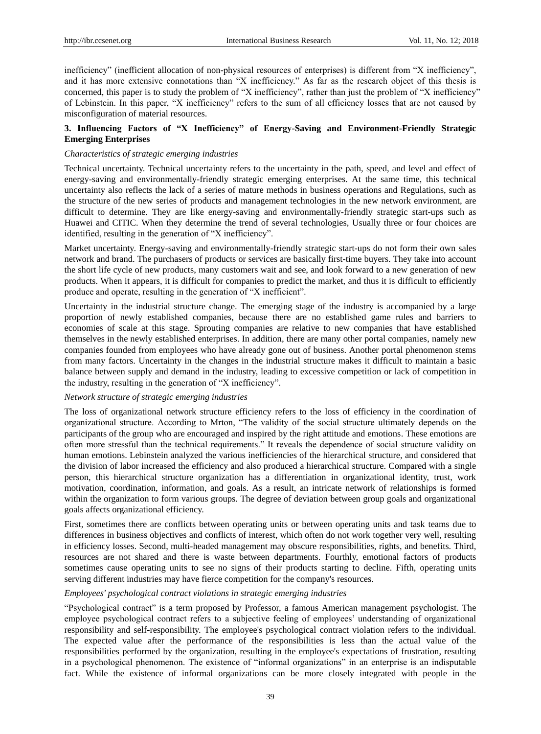inefficiency" (inefficient allocation of non-physical resources of enterprises) is different from "X inefficiency", and it has more extensive connotations than "X inefficiency." As far as the research object of this thesis is concerned, this paper is to study the problem of "X inefficiency", rather than just the problem of "X inefficiency" of Lebinstein. In this paper, "X inefficiency" refers to the sum of all efficiency losses that are not caused by misconfiguration of material resources.

## **3. Influencing Factors of "X Inefficiency" of Energy-Saving and Environment-Friendly Strategic Emerging Enterprises**

## *Characteristics of strategic emerging industries*

Technical uncertainty. Technical uncertainty refers to the uncertainty in the path, speed, and level and effect of energy-saving and environmentally-friendly strategic emerging enterprises. At the same time, this technical uncertainty also reflects the lack of a series of mature methods in business operations and Regulations, such as the structure of the new series of products and management technologies in the new network environment, are difficult to determine. They are like energy-saving and environmentally-friendly strategic start-ups such as Huawei and CITIC. When they determine the trend of several technologies, Usually three or four choices are identified, resulting in the generation of "X inefficiency".

Market uncertainty. Energy-saving and environmentally-friendly strategic start-ups do not form their own sales network and brand. The purchasers of products or services are basically first-time buyers. They take into account the short life cycle of new products, many customers wait and see, and look forward to a new generation of new products. When it appears, it is difficult for companies to predict the market, and thus it is difficult to efficiently produce and operate, resulting in the generation of "X inefficient".

Uncertainty in the industrial structure change. The emerging stage of the industry is accompanied by a large proportion of newly established companies, because there are no established game rules and barriers to economies of scale at this stage. Sprouting companies are relative to new companies that have established themselves in the newly established enterprises. In addition, there are many other portal companies, namely new companies founded from employees who have already gone out of business. Another portal phenomenon stems from many factors. Uncertainty in the changes in the industrial structure makes it difficult to maintain a basic balance between supply and demand in the industry, leading to excessive competition or lack of competition in the industry, resulting in the generation of "X inefficiency".

## *Network structure of strategic emerging industries*

The loss of organizational network structure efficiency refers to the loss of efficiency in the coordination of organizational structure. According to Mrton, "The validity of the social structure ultimately depends on the participants of the group who are encouraged and inspired by the right attitude and emotions. These emotions are often more stressful than the technical requirements." It reveals the dependence of social structure validity on human emotions. Lebinstein analyzed the various inefficiencies of the hierarchical structure, and considered that the division of labor increased the efficiency and also produced a hierarchical structure. Compared with a single person, this hierarchical structure organization has a differentiation in organizational identity, trust, work motivation, coordination, information, and goals. As a result, an intricate network of relationships is formed within the organization to form various groups. The degree of deviation between group goals and organizational goals affects organizational efficiency.

First, sometimes there are conflicts between operating units or between operating units and task teams due to differences in business objectives and conflicts of interest, which often do not work together very well, resulting in efficiency losses. Second, multi-headed management may obscure responsibilities, rights, and benefits. Third, resources are not shared and there is waste between departments. Fourthly, emotional factors of products sometimes cause operating units to see no signs of their products starting to decline. Fifth, operating units serving different industries may have fierce competition for the company's resources.

## *Employees' psychological contract violations in strategic emerging industries*

"Psychological contract" is a term proposed by Professor, a famous American management psychologist. The employee psychological contract refers to a subjective feeling of employees' understanding of organizational responsibility and self-responsibility. The employee's psychological contract violation refers to the individual. The expected value after the performance of the responsibilities is less than the actual value of the responsibilities performed by the organization, resulting in the employee's expectations of frustration, resulting in a psychological phenomenon. The existence of "informal organizations" in an enterprise is an indisputable fact. While the existence of informal organizations can be more closely integrated with people in the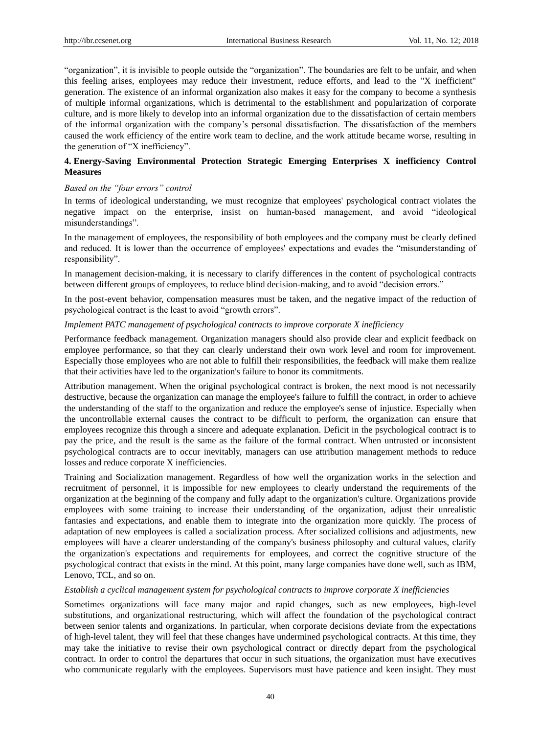"organization", it is invisible to people outside the "organization". The boundaries are felt to be unfair, and when this feeling arises, employees may reduce their investment, reduce efforts, and lead to the "X inefficient" generation. The existence of an informal organization also makes it easy for the company to become a synthesis of multiple informal organizations, which is detrimental to the establishment and popularization of corporate culture, and is more likely to develop into an informal organization due to the dissatisfaction of certain members of the informal organization with the company's personal dissatisfaction. The dissatisfaction of the members caused the work efficiency of the entire work team to decline, and the work attitude became worse, resulting in the generation of "X inefficiency".

## **4. Energy-Saving Environmental Protection Strategic Emerging Enterprises X inefficiency Control Measures**

## *Based on the "four errors" control*

In terms of ideological understanding, we must recognize that employees' psychological contract violates the negative impact on the enterprise, insist on human-based management, and avoid "ideological misunderstandings".

In the management of employees, the responsibility of both employees and the company must be clearly defined and reduced. It is lower than the occurrence of employees' expectations and evades the "misunderstanding of responsibility".

In management decision-making, it is necessary to clarify differences in the content of psychological contracts between different groups of employees, to reduce blind decision-making, and to avoid "decision errors."

In the post-event behavior, compensation measures must be taken, and the negative impact of the reduction of psychological contract is the least to avoid "growth errors".

## *Implement PATC management of psychological contracts to improve corporate X inefficiency*

Performance feedback management. Organization managers should also provide clear and explicit feedback on employee performance, so that they can clearly understand their own work level and room for improvement. Especially those employees who are not able to fulfill their responsibilities, the feedback will make them realize that their activities have led to the organization's failure to honor its commitments.

Attribution management. When the original psychological contract is broken, the next mood is not necessarily destructive, because the organization can manage the employee's failure to fulfill the contract, in order to achieve the understanding of the staff to the organization and reduce the employee's sense of injustice. Especially when the uncontrollable external causes the contract to be difficult to perform, the organization can ensure that employees recognize this through a sincere and adequate explanation. Deficit in the psychological contract is to pay the price, and the result is the same as the failure of the formal contract. When untrusted or inconsistent psychological contracts are to occur inevitably, managers can use attribution management methods to reduce losses and reduce corporate X inefficiencies.

Training and Socialization management. Regardless of how well the organization works in the selection and recruitment of personnel, it is impossible for new employees to clearly understand the requirements of the organization at the beginning of the company and fully adapt to the organization's culture. Organizations provide employees with some training to increase their understanding of the organization, adjust their unrealistic fantasies and expectations, and enable them to integrate into the organization more quickly. The process of adaptation of new employees is called a socialization process. After socialized collisions and adjustments, new employees will have a clearer understanding of the company's business philosophy and cultural values, clarify the organization's expectations and requirements for employees, and correct the cognitive structure of the psychological contract that exists in the mind. At this point, many large companies have done well, such as IBM, Lenovo, TCL, and so on.

#### *Establish a cyclical management system for psychological contracts to improve corporate X inefficiencies*

Sometimes organizations will face many major and rapid changes, such as new employees, high-level substitutions, and organizational restructuring, which will affect the foundation of the psychological contract between senior talents and organizations. In particular, when corporate decisions deviate from the expectations of high-level talent, they will feel that these changes have undermined psychological contracts. At this time, they may take the initiative to revise their own psychological contract or directly depart from the psychological contract. In order to control the departures that occur in such situations, the organization must have executives who communicate regularly with the employees. Supervisors must have patience and keen insight. They must